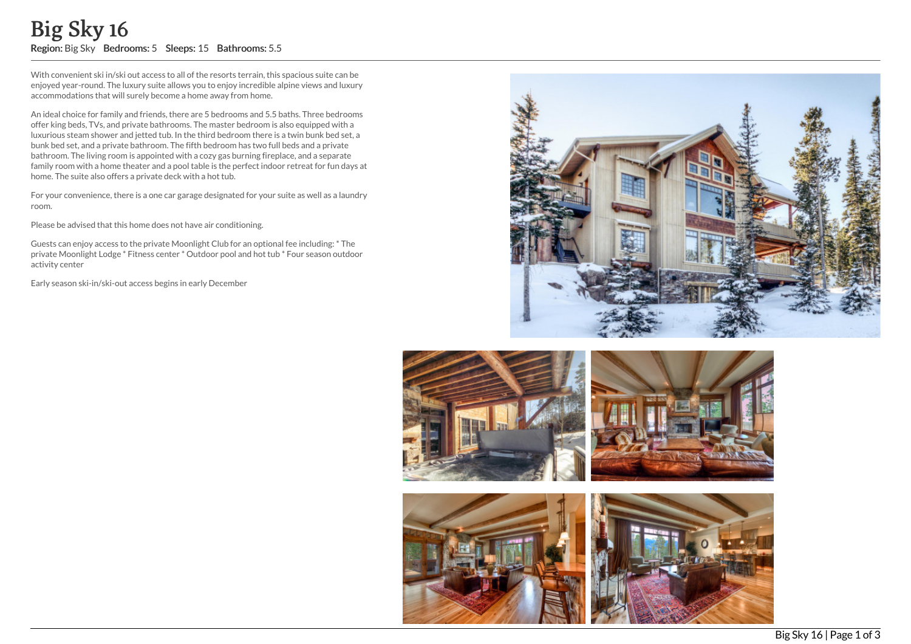## Big Sky 16 Region: Big Sky Bedrooms: 5 Sleeps: 15 Bathrooms: 5.5

With convenient ski in/ski out access to all of the resorts terrain, this spacious suite can be enjoyed year-round. The luxury suite allows you to enjoy incredible alpine views and luxury accommodations that will surely become a home away from home.

An ideal choice for family and friends, there are 5 bedrooms and 5.5 baths. Three bedrooms offer king beds, TVs, and private bathrooms. The master bedroom is also equipped with a luxurious steam shower and jetted tub. In the third bedroom there is a twin bunk bed set, a bunk bed set, and a private bathroom. The fifth bedroom has two full beds and a private bathroom. The living room is appointed with a cozy gas burning fireplace, and a separate family room with a home theater and a pool table is the perfect indoor retreat for fun days at home. The suite also offers a private deck with a hot tub.

For your convenience, there is a one car garage designated for your suite as well as a laundry room.

Please be advised that this home does not have air conditioning.

Guests can enjoy access to the private Moonlight Club for an optional fee including: \* The private Moonlight Lodge \* Fitness center \* Outdoor pool and hot tub \* Four season outdoor activity center

Early season ski-in/ski-out access begins in early December



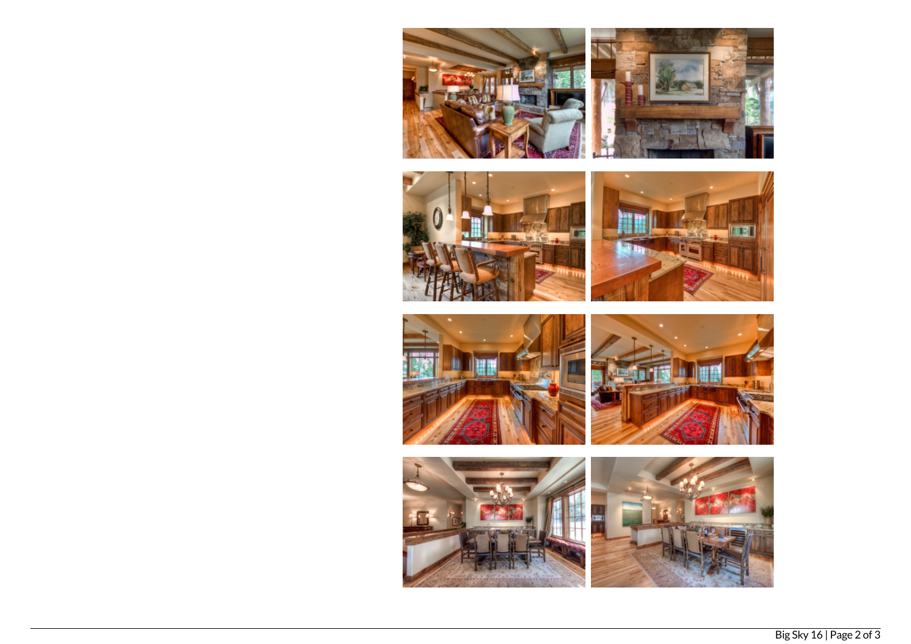